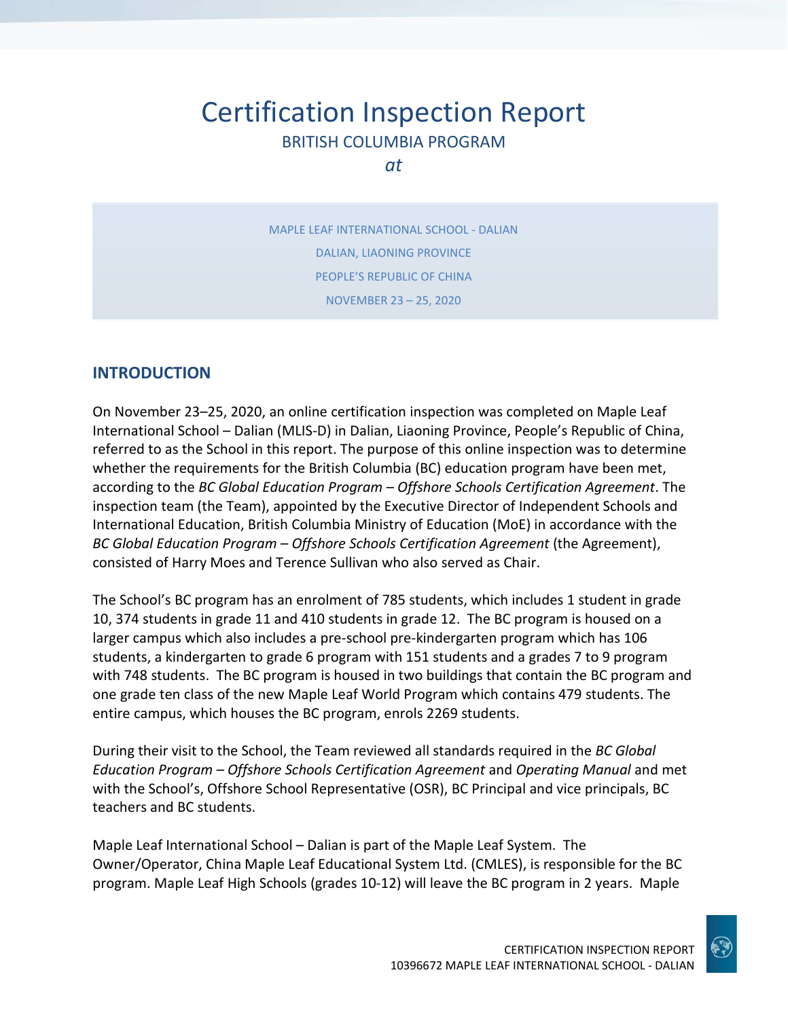# Certification Inspection Report BRITISH COLUMBIA PROGRAM

*at*

MAPLE LEAF INTERNATIONAL SCHOOL - DALIAN DALIAN, LIAONING PROVINCE PEOPLE'S REPUBLIC OF CHINA NOVEMBER 23 – 25, 2020

## **INTRODUCTION**

On November 23–25, 2020, an online certification inspection was completed on Maple Leaf International School – Dalian (MLIS-D) in Dalian, Liaoning Province, People's Republic of China, referred to as the School in this report. The purpose of this online inspection was to determine whether the requirements for the British Columbia (BC) education program have been met, according to the *BC Global Education Program – Offshore Schools Certification Agreement*. The inspection team (the Team), appointed by the Executive Director of Independent Schools and International Education, British Columbia Ministry of Education (MoE) in accordance with the *BC Global Education Program – Offshore Schools Certification Agreement* (the Agreement), consisted of Harry Moes and Terence Sullivan who also served as Chair.

The School's BC program has an enrolment of 785 students, which includes 1 student in grade 10, 374 students in grade 11 and 410 students in grade 12. The BC program is housed on a larger campus which also includes a pre-school pre-kindergarten program which has 106 students, a kindergarten to grade 6 program with 151 students and a grades 7 to 9 program with 748 students. The BC program is housed in two buildings that contain the BC program and one grade ten class of the new Maple Leaf World Program which contains 479 students. The entire campus, which houses the BC program, enrols 2269 students.

During their visit to the School, the Team reviewed all standards required in the *BC Global Education Program – Offshore Schools Certification Agreement* and *Operating Manual* and met with the School's, Offshore School Representative (OSR), BC Principal and vice principals, BC teachers and BC students.

Maple Leaf International School – Dalian is part of the Maple Leaf System. The Owner/Operator, China Maple Leaf Educational System Ltd. (CMLES), is responsible for the BC program. Maple Leaf High Schools (grades 10-12) will leave the BC program in 2 years. Maple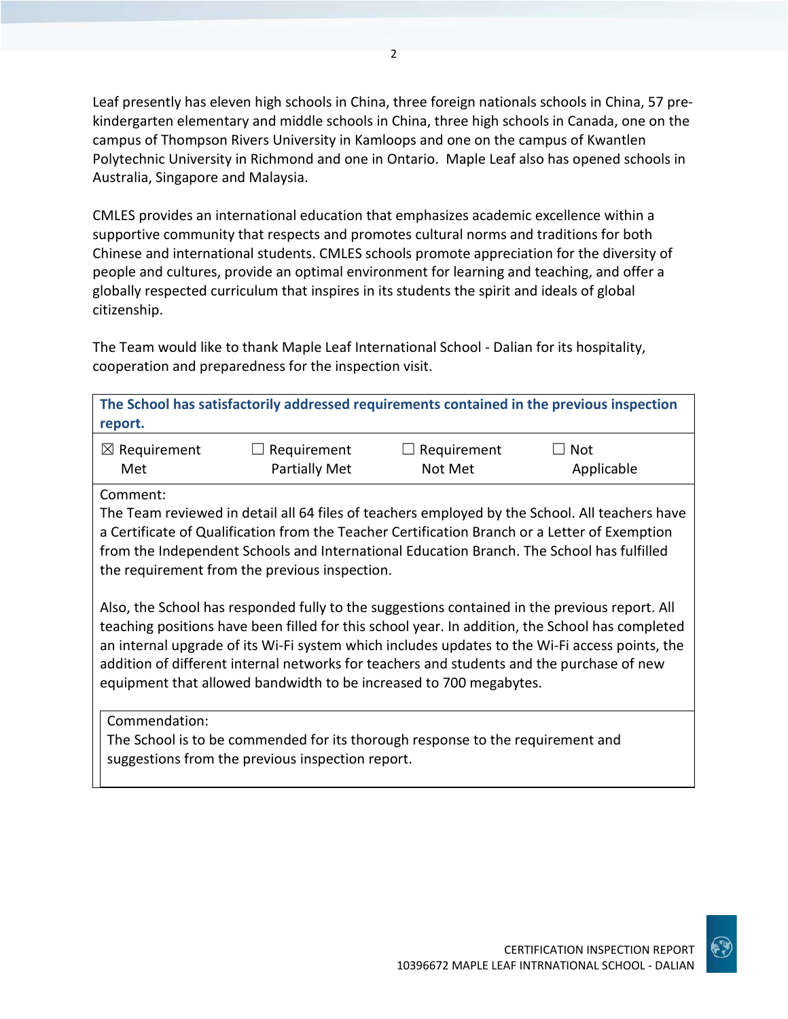Leaf presently has eleven high schools in China, three foreign nationals schools in China, 57 prekindergarten elementary and middle schools in China, three high schools in Canada, one on the campus of Thompson Rivers University in Kamloops and one on the campus of Kwantlen Polytechnic University in Richmond and one in Ontario. Maple Leaf also has opened schools in Australia, Singapore and Malaysia.

CMLES provides an international education that emphasizes academic excellence within a supportive community that respects and promotes cultural norms and traditions for both Chinese and international students. CMLES schools promote appreciation for the diversity of people and cultures, provide an optimal environment for learning and teaching, and offer a globally respected curriculum that inspires in its students the spirit and ideals of global citizenship.

The Team would like to thank Maple Leaf International School - Dalian for its hospitality, cooperation and preparedness for the inspection visit.

| report.                                                                                                                                                                                                                                                                                                                                                                                                                                                               |                                     |                        | The School has satisfactorily addressed requirements contained in the previous inspection |
|-----------------------------------------------------------------------------------------------------------------------------------------------------------------------------------------------------------------------------------------------------------------------------------------------------------------------------------------------------------------------------------------------------------------------------------------------------------------------|-------------------------------------|------------------------|-------------------------------------------------------------------------------------------|
| $\boxtimes$ Requirement<br>Met                                                                                                                                                                                                                                                                                                                                                                                                                                        | Requirement<br><b>Partially Met</b> | Requirement<br>Not Met | Not<br>Applicable                                                                         |
| Comment:                                                                                                                                                                                                                                                                                                                                                                                                                                                              |                                     |                        |                                                                                           |
| The Team reviewed in detail all 64 files of teachers employed by the School. All teachers have<br>a Certificate of Qualification from the Teacher Certification Branch or a Letter of Exemption<br>from the Independent Schools and International Education Branch. The School has fulfilled<br>the requirement from the previous inspection.                                                                                                                         |                                     |                        |                                                                                           |
| Also, the School has responded fully to the suggestions contained in the previous report. All<br>teaching positions have been filled for this school year. In addition, the School has completed<br>an internal upgrade of its Wi-Fi system which includes updates to the Wi-Fi access points, the<br>addition of different internal networks for teachers and students and the purchase of new<br>equipment that allowed bandwidth to be increased to 700 megabytes. |                                     |                        |                                                                                           |

Commendation:

The School is to be commended for its thorough response to the requirement and suggestions from the previous inspection report.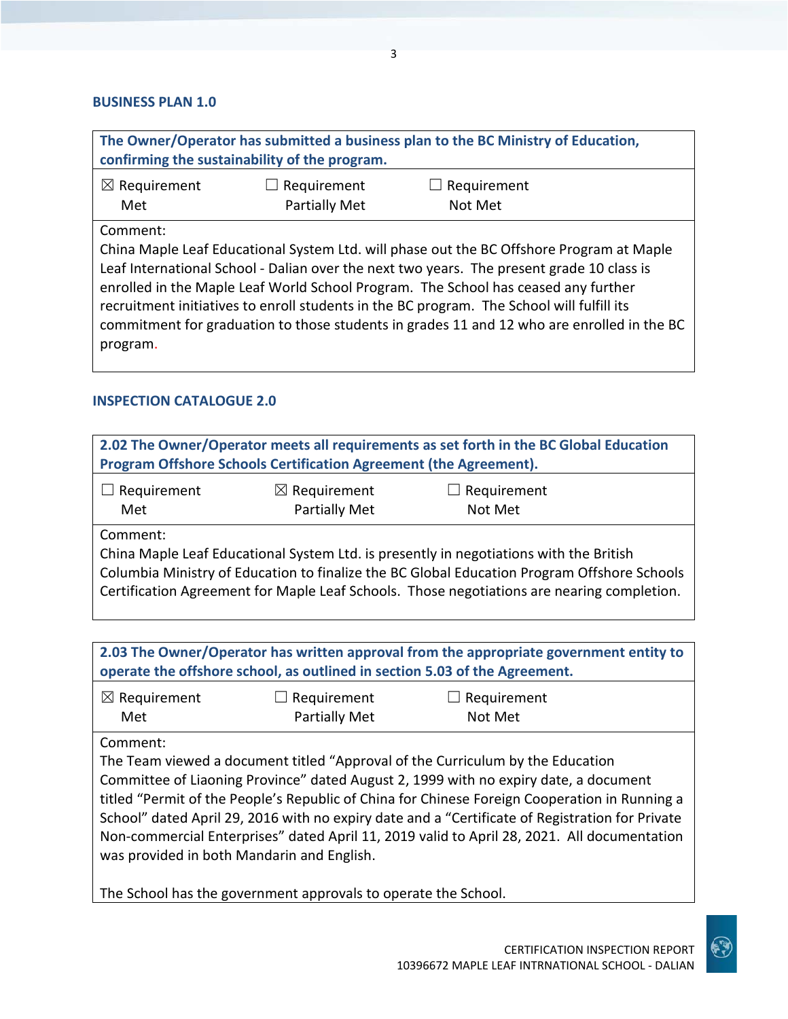#### **BUSINESS PLAN 1.0**

| The Owner/Operator has submitted a business plan to the BC Ministry of Education,<br>confirming the sustainability of the program.                                                                                                                                                      |  |  |  |
|-----------------------------------------------------------------------------------------------------------------------------------------------------------------------------------------------------------------------------------------------------------------------------------------|--|--|--|
| $\boxtimes$ Requirement<br>$\Box$ Requirement<br>$\Box$ Requirement<br><b>Partially Met</b><br>Met<br>Not Met                                                                                                                                                                           |  |  |  |
| Comment:<br>China Maple Leaf Educational System Ltd. will phase out the BC Offshore Program at Maple<br>Leaf International School - Dalian over the next two years. The present grade 10 class is<br>enrolled in the Maple Leaf World School Program. The School has ceased any further |  |  |  |

recruitment initiatives to enroll students in the BC program. The School will fulfill its commitment for graduation to those students in grades 11 and 12 who are enrolled in the BC program.

#### **INSPECTION CATALOGUE 2.0**

| 2.02 The Owner/Operator meets all requirements as set forth in the BC Global Education<br>Program Offshore Schools Certification Agreement (the Agreement). |  |                                                                                                                                                                                                                                                                                     |  |
|-------------------------------------------------------------------------------------------------------------------------------------------------------------|--|-------------------------------------------------------------------------------------------------------------------------------------------------------------------------------------------------------------------------------------------------------------------------------------|--|
| $\boxtimes$ Requirement<br>$\Box$ Requirement<br>Requirement<br>Partially Met<br>Met<br>Not Met                                                             |  |                                                                                                                                                                                                                                                                                     |  |
| Comment:                                                                                                                                                    |  | China Maple Leaf Educational System Ltd. is presently in negotiations with the British<br>Columbia Ministry of Education to finalize the BC Global Education Program Offshore Schools<br>Certification Agreement for Maple Leaf Schools. Those negotiations are nearing completion. |  |

**2.03 The Owner/Operator has written approval from the appropriate government entity to operate the offshore school, as outlined in section 5.03 of the Agreement.**

| $\boxtimes$ Requirement | $\Box$ Requirement | $\Box$ Requirement |
|-------------------------|--------------------|--------------------|
| Met                     | Partially Met      | Not Met            |

Comment:

The Team viewed a document titled "Approval of the Curriculum by the Education Committee of Liaoning Province" dated August 2, 1999 with no expiry date, a document titled "Permit of the People's Republic of China for Chinese Foreign Cooperation in Running a School" dated April 29, 2016 with no expiry date and a "Certificate of Registration for Private Non-commercial Enterprises" dated April 11, 2019 valid to April 28, 2021. All documentation was provided in both Mandarin and English.

The School has the government approvals to operate the School.

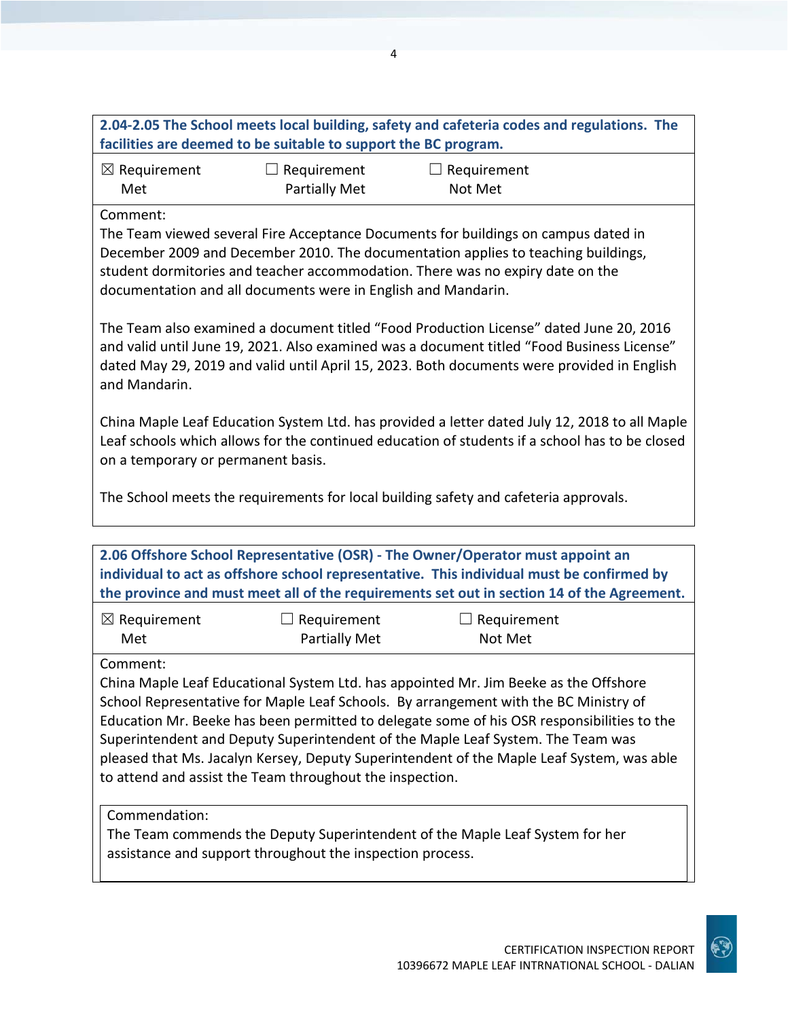| 2.04-2.05 The School meets local building, safety and cafeteria codes and regulations. The |  |
|--------------------------------------------------------------------------------------------|--|
| facilities are deemed to be suitable to support the BC program.                            |  |

| $\boxtimes$ Requirement | $\Box$ Requirement   | $\Box$ Requirement |
|-------------------------|----------------------|--------------------|
| Met                     | <b>Partially Met</b> | Not Met            |

Comment:

The Team viewed several Fire Acceptance Documents for buildings on campus dated in December 2009 and December 2010. The documentation applies to teaching buildings, student dormitories and teacher accommodation. There was no expiry date on the documentation and all documents were in English and Mandarin.

The Team also examined a document titled "Food Production License" dated June 20, 2016 and valid until June 19, 2021. Also examined was a document titled "Food Business License" dated May 29, 2019 and valid until April 15, 2023. Both documents were provided in English and Mandarin.

China Maple Leaf Education System Ltd. has provided a letter dated July 12, 2018 to all Maple Leaf schools which allows for the continued education of students if a school has to be closed on a temporary or permanent basis.

The School meets the requirements for local building safety and cafeteria approvals.

**2.06 Offshore School Representative (OSR) - The Owner/Operator must appoint an individual to act as offshore school representative. This individual must be confirmed by the province and must meet all of the requirements set out in section 14 of the Agreement.**

| $\boxtimes$ Requirement | $\Box$ Requirement   | $\Box$ Requirement |
|-------------------------|----------------------|--------------------|
| Met                     | <b>Partially Met</b> | Not Met            |

Comment:

China Maple Leaf Educational System Ltd. has appointed Mr. Jim Beeke as the Offshore School Representative for Maple Leaf Schools. By arrangement with the BC Ministry of Education Mr. Beeke has been permitted to delegate some of his OSR responsibilities to the Superintendent and Deputy Superintendent of the Maple Leaf System. The Team was pleased that Ms. Jacalyn Kersey, Deputy Superintendent of the Maple Leaf System, was able to attend and assist the Team throughout the inspection.

Commendation:

The Team commends the Deputy Superintendent of the Maple Leaf System for her assistance and support throughout the inspection process.

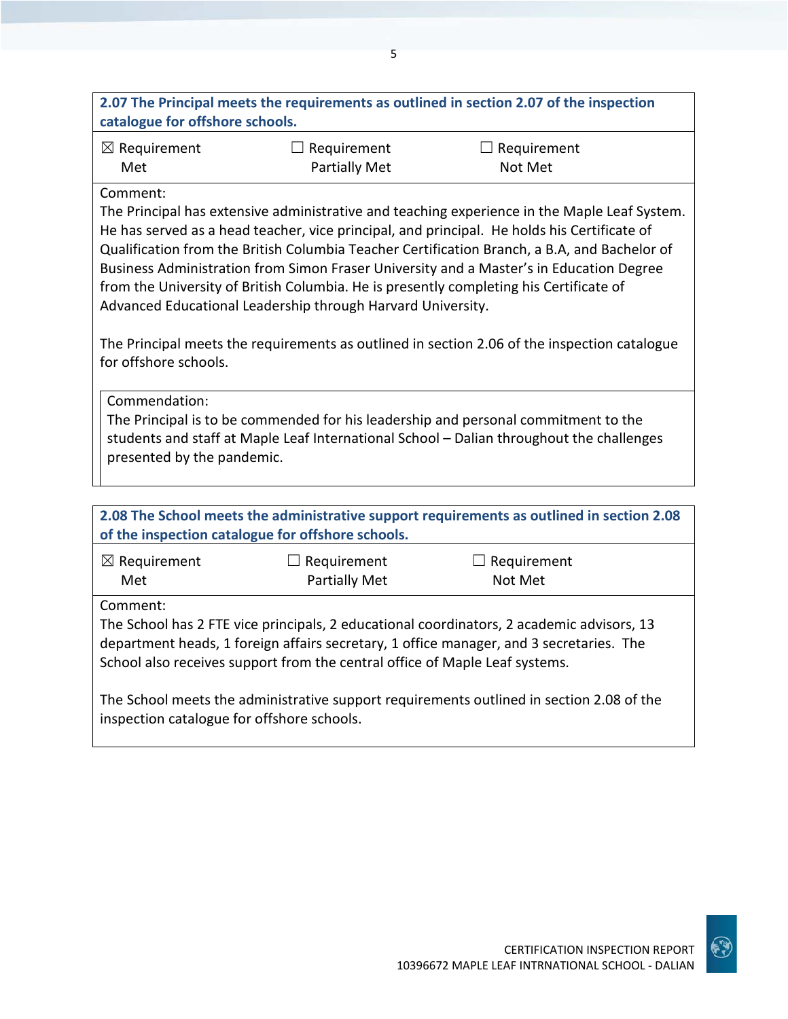| 2.07 The Principal meets the requirements as outlined in section 2.07 of the inspection<br>catalogue for offshore schools.                                                                                                                                                                                                                                                                                                                                                                                                                                                                                                                                  |                                                   |                                                                                           |  |
|-------------------------------------------------------------------------------------------------------------------------------------------------------------------------------------------------------------------------------------------------------------------------------------------------------------------------------------------------------------------------------------------------------------------------------------------------------------------------------------------------------------------------------------------------------------------------------------------------------------------------------------------------------------|---------------------------------------------------|-------------------------------------------------------------------------------------------|--|
| $\boxtimes$ Requirement<br>Met                                                                                                                                                                                                                                                                                                                                                                                                                                                                                                                                                                                                                              | $\Box$ Requirement<br><b>Partially Met</b>        | $\Box$ Requirement<br>Not Met                                                             |  |
| Comment:<br>The Principal has extensive administrative and teaching experience in the Maple Leaf System.<br>He has served as a head teacher, vice principal, and principal. He holds his Certificate of<br>Qualification from the British Columbia Teacher Certification Branch, a B.A, and Bachelor of<br>Business Administration from Simon Fraser University and a Master's in Education Degree<br>from the University of British Columbia. He is presently completing his Certificate of<br>Advanced Educational Leadership through Harvard University.<br>The Principal meets the requirements as outlined in section 2.06 of the inspection catalogue |                                                   |                                                                                           |  |
| for offshore schools.<br>Commendation:<br>The Principal is to be commended for his leadership and personal commitment to the<br>students and staff at Maple Leaf International School - Dalian throughout the challenges<br>presented by the pandemic.                                                                                                                                                                                                                                                                                                                                                                                                      |                                                   |                                                                                           |  |
|                                                                                                                                                                                                                                                                                                                                                                                                                                                                                                                                                                                                                                                             | of the inspection catalogue for offshore schools. | 2.08 The School meets the administrative support requirements as outlined in section 2.08 |  |
| $\boxtimes$ Requirement<br>Met                                                                                                                                                                                                                                                                                                                                                                                                                                                                                                                                                                                                                              | $\Box$ Requirement<br><b>Partially Met</b>        | $\Box$ Requirement<br>Not Met                                                             |  |
| Comment:<br>The School has 2 FTE vice principals, 2 educational coordinators, 2 academic advisors, 13<br>department heads, 1 foreign affairs secretary, 1 office manager, and 3 secretaries. The<br>School also receives support from the central office of Maple Leaf systems.                                                                                                                                                                                                                                                                                                                                                                             |                                                   |                                                                                           |  |
| The School meets the administrative support requirements outlined in section 2.08 of the<br>inspection catalogue for offshore schools.                                                                                                                                                                                                                                                                                                                                                                                                                                                                                                                      |                                                   |                                                                                           |  |

5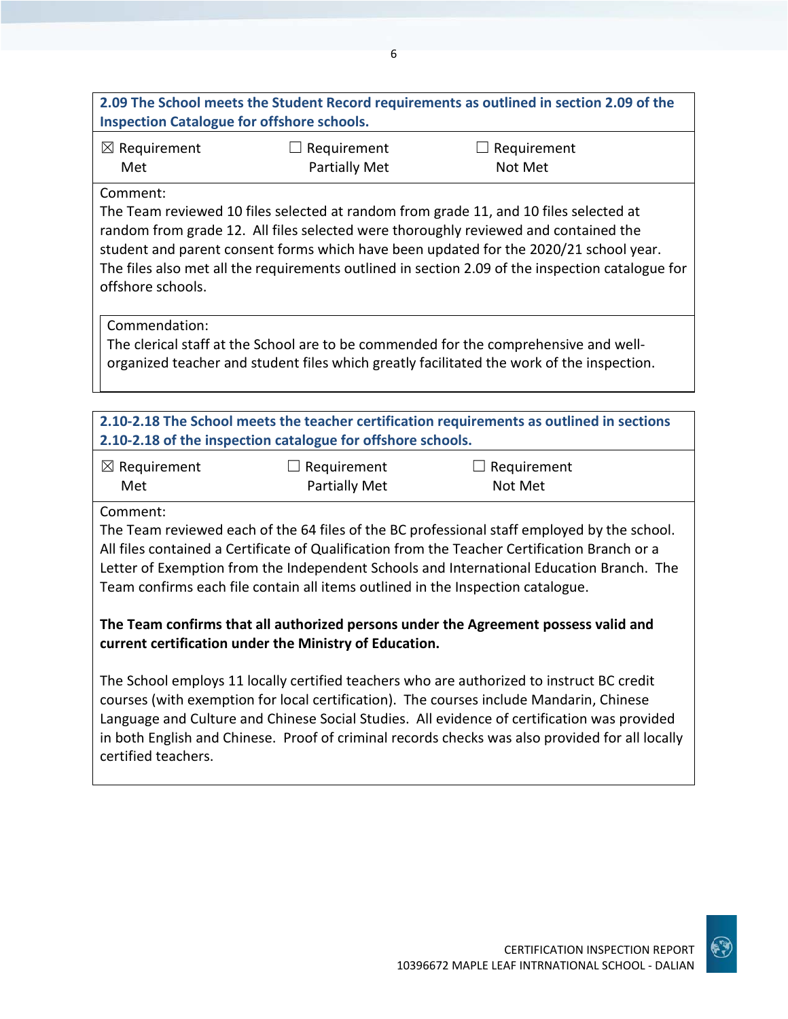## **2.09 The School meets the Student Record requirements as outlined in section 2.09 of the Inspection Catalogue for offshore schools.**

6

☒ Requirement Met

 $\Box$  Requirement Partially Met  $\Box$  Requirement Not Met

#### Comment:

The Team reviewed 10 files selected at random from grade 11, and 10 files selected at random from grade 12. All files selected were thoroughly reviewed and contained the student and parent consent forms which have been updated for the 2020/21 school year. The files also met all the requirements outlined in section 2.09 of the inspection catalogue for offshore schools.

### Commendation:

The clerical staff at the School are to be commended for the comprehensive and wellorganized teacher and student files which greatly facilitated the work of the inspection.

## **2.10-2.18 The School meets the teacher certification requirements as outlined in sections 2.10-2.18 of the inspection catalogue for offshore schools.**

| $\boxtimes$ Requirement | $\Box$ Requirement | $\Box$ Requirement |
|-------------------------|--------------------|--------------------|
| Met                     | Partially Met      | Not Met            |

Comment:

The Team reviewed each of the 64 files of the BC professional staff employed by the school. All files contained a Certificate of Qualification from the Teacher Certification Branch or a Letter of Exemption from the Independent Schools and International Education Branch. The Team confirms each file contain all items outlined in the Inspection catalogue.

## **The Team confirms that all authorized persons under the Agreement possess valid and current certification under the Ministry of Education.**

The School employs 11 locally certified teachers who are authorized to instruct BC credit courses (with exemption for local certification). The courses include Mandarin, Chinese Language and Culture and Chinese Social Studies. All evidence of certification was provided in both English and Chinese. Proof of criminal records checks was also provided for all locally certified teachers.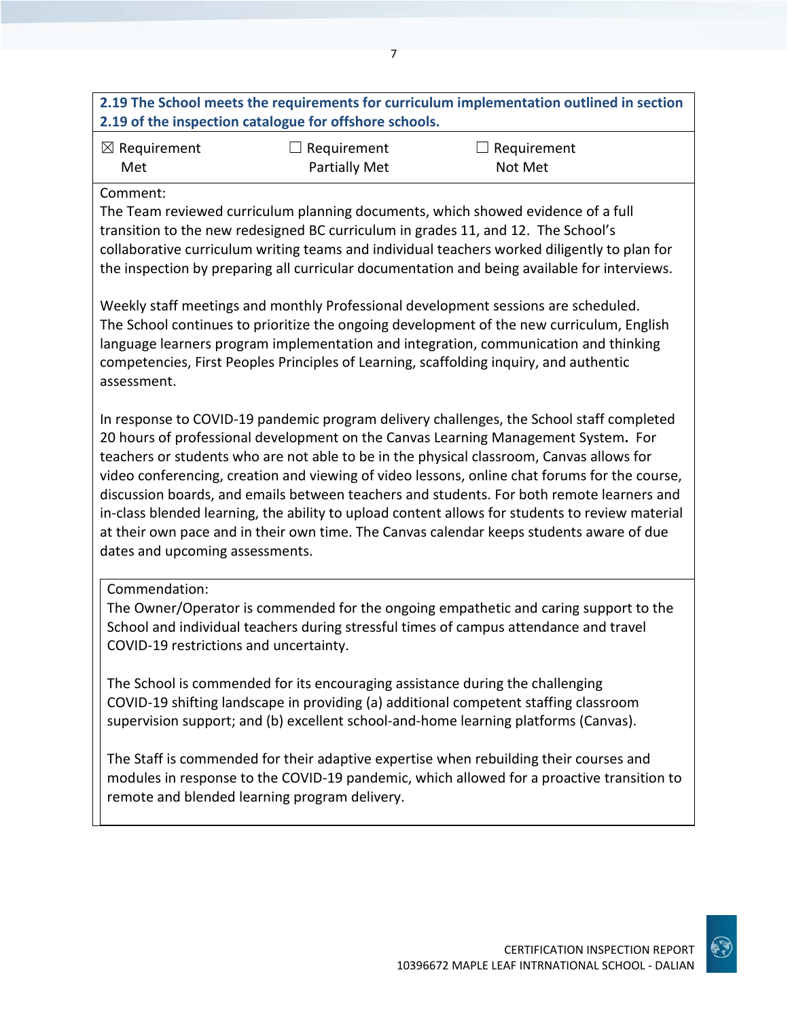## **2.19 The School meets the requirements for curriculum implementation outlined in section 2.19 of the inspection catalogue for offshore schools.**

7

| $\boxtimes$ Requirement | $\Box$ Requirement   | $\Box$ Requirement |
|-------------------------|----------------------|--------------------|
| Met                     | <b>Partially Met</b> | Not Met            |

#### Comment:

The Team reviewed curriculum planning documents, which showed evidence of a full transition to the new redesigned BC curriculum in grades 11, and 12. The School's collaborative curriculum writing teams and individual teachers worked diligently to plan for the inspection by preparing all curricular documentation and being available for interviews.

Weekly staff meetings and monthly Professional development sessions are scheduled. The School continues to prioritize the ongoing development of the new curriculum, English language learners program implementation and integration, communication and thinking competencies, First Peoples Principles of Learning, scaffolding inquiry, and authentic assessment.

In response to COVID-19 pandemic program delivery challenges, the School staff completed 20 hours of professional development on the Canvas Learning Management System**.** For teachers or students who are not able to be in the physical classroom, Canvas allows for video conferencing, creation and viewing of video lessons, online chat forums for the course, discussion boards, and emails between teachers and students. For both remote learners and in-class blended learning, the ability to upload content allows for students to review material at their own pace and in their own time. The Canvas calendar keeps students aware of due dates and upcoming assessments.

#### Commendation:

The Owner/Operator is commended for the ongoing empathetic and caring support to the School and individual teachers during stressful times of campus attendance and travel COVID-19 restrictions and uncertainty.

The School is commended for its encouraging assistance during the challenging COVID-19 shifting landscape in providing (a) additional competent staffing classroom supervision support; and (b) excellent school-and-home learning platforms (Canvas).

The Staff is commended for their adaptive expertise when rebuilding their courses and modules in response to the COVID-19 pandemic, which allowed for a proactive transition to remote and blended learning program delivery.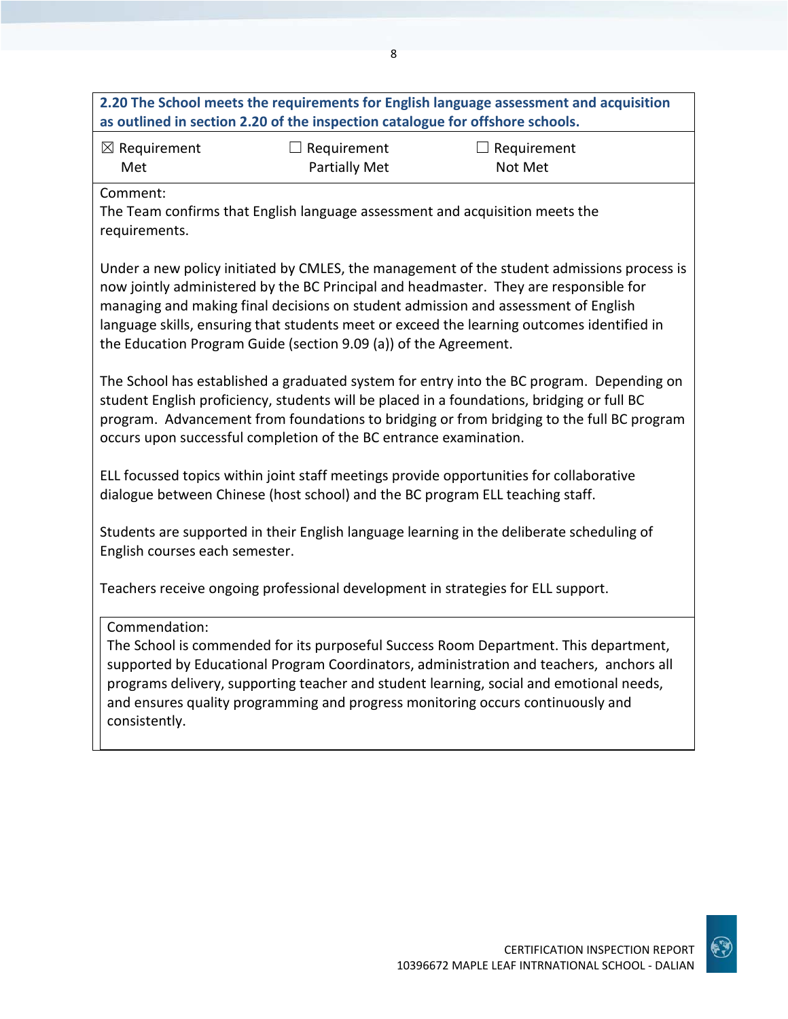| 2.20 The School meets the requirements for English language assessment and acquisition<br>as outlined in section 2.20 of the inspection catalogue for offshore schools.                                                                                                                                                                                                                                                                     |                                     |                                                                                                                                                                                                                                                                                                                                                               |  |
|---------------------------------------------------------------------------------------------------------------------------------------------------------------------------------------------------------------------------------------------------------------------------------------------------------------------------------------------------------------------------------------------------------------------------------------------|-------------------------------------|---------------------------------------------------------------------------------------------------------------------------------------------------------------------------------------------------------------------------------------------------------------------------------------------------------------------------------------------------------------|--|
| $\boxtimes$ Requirement<br>Met                                                                                                                                                                                                                                                                                                                                                                                                              | $\Box$ Requirement<br>Partially Met | $\Box$ Requirement<br>Not Met                                                                                                                                                                                                                                                                                                                                 |  |
| Comment:<br>requirements.                                                                                                                                                                                                                                                                                                                                                                                                                   |                                     | The Team confirms that English language assessment and acquisition meets the                                                                                                                                                                                                                                                                                  |  |
| Under a new policy initiated by CMLES, the management of the student admissions process is<br>now jointly administered by the BC Principal and headmaster. They are responsible for<br>managing and making final decisions on student admission and assessment of English<br>language skills, ensuring that students meet or exceed the learning outcomes identified in<br>the Education Program Guide (section 9.09 (a)) of the Agreement. |                                     |                                                                                                                                                                                                                                                                                                                                                               |  |
| occurs upon successful completion of the BC entrance examination.                                                                                                                                                                                                                                                                                                                                                                           |                                     | The School has established a graduated system for entry into the BC program. Depending on<br>student English proficiency, students will be placed in a foundations, bridging or full BC<br>program. Advancement from foundations to bridging or from bridging to the full BC program                                                                          |  |
| dialogue between Chinese (host school) and the BC program ELL teaching staff.                                                                                                                                                                                                                                                                                                                                                               |                                     | ELL focussed topics within joint staff meetings provide opportunities for collaborative                                                                                                                                                                                                                                                                       |  |
| English courses each semester.                                                                                                                                                                                                                                                                                                                                                                                                              |                                     | Students are supported in their English language learning in the deliberate scheduling of                                                                                                                                                                                                                                                                     |  |
|                                                                                                                                                                                                                                                                                                                                                                                                                                             |                                     | Teachers receive ongoing professional development in strategies for ELL support.                                                                                                                                                                                                                                                                              |  |
| Commendation:<br>consistently.                                                                                                                                                                                                                                                                                                                                                                                                              |                                     | The School is commended for its purposeful Success Room Department. This department,<br>supported by Educational Program Coordinators, administration and teachers, anchors all<br>programs delivery, supporting teacher and student learning, social and emotional needs,<br>and ensures quality programming and progress monitoring occurs continuously and |  |
|                                                                                                                                                                                                                                                                                                                                                                                                                                             |                                     |                                                                                                                                                                                                                                                                                                                                                               |  |



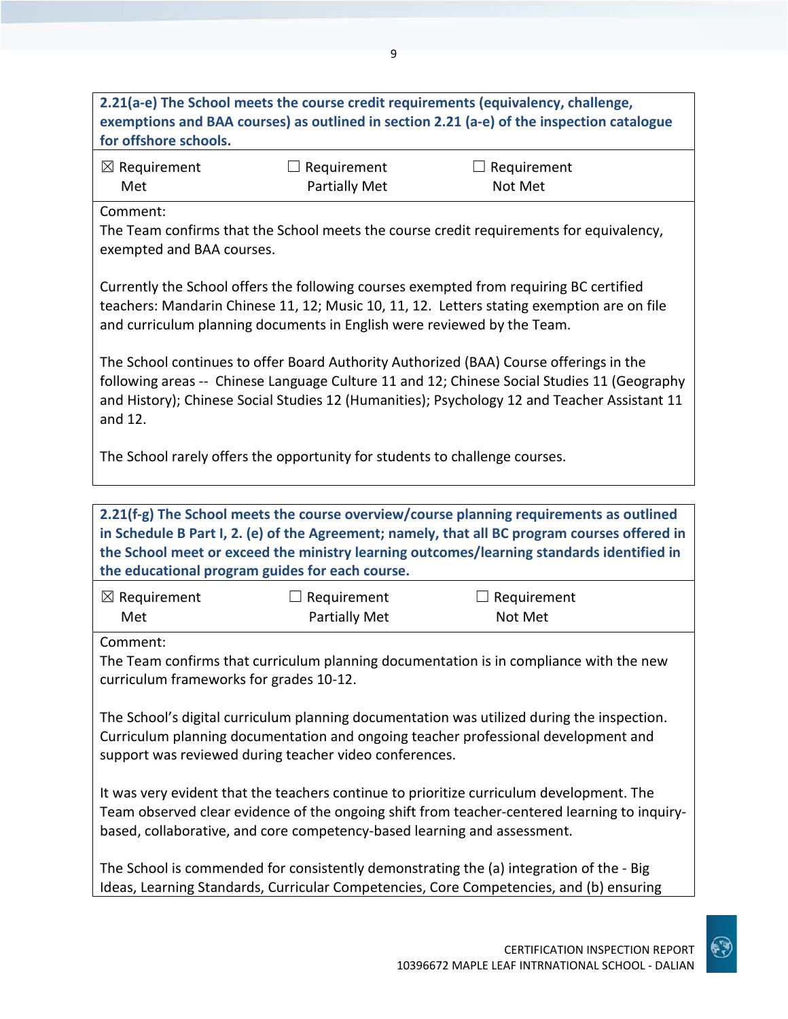## **2.21(a-e) The School meets the course credit requirements (equivalency, challenge, exemptions and BAA courses) as outlined in section 2.21 (a-e) of the inspection catalogue for offshore schools.**

| $\boxtimes$ Requirement | $\Box$ Requirement | $\Box$ Requirement |
|-------------------------|--------------------|--------------------|
| Met                     | Partially Met      | Not Met            |

Comment:

The Team confirms that the School meets the course credit requirements for equivalency, exempted and BAA courses.

Currently the School offers the following courses exempted from requiring BC certified teachers: Mandarin Chinese 11, 12; Music 10, 11, 12. Letters stating exemption are on file and curriculum planning documents in English were reviewed by the Team.

The School continues to offer Board Authority Authorized (BAA) Course offerings in the following areas -- Chinese Language Culture 11 and 12; Chinese Social Studies 11 (Geography and History); Chinese Social Studies 12 (Humanities); Psychology 12 and Teacher Assistant 11 and 12.

The School rarely offers the opportunity for students to challenge courses.

**2.21(f-g) The School meets the course overview/course planning requirements as outlined in Schedule B Part I, 2. (e) of the Agreement; namely, that all BC program courses offered in the School meet or exceed the ministry learning outcomes/learning standards identified in the educational program guides for each course.**

| $\boxtimes$ Requirement | $\Box$ Requirement   | $\Box$ Requirement |
|-------------------------|----------------------|--------------------|
| Met                     | <b>Partially Met</b> | Not Met            |

Comment:

The Team confirms that curriculum planning documentation is in compliance with the new curriculum frameworks for grades 10-12.

The School's digital curriculum planning documentation was utilized during the inspection. Curriculum planning documentation and ongoing teacher professional development and support was reviewed during teacher video conferences.

It was very evident that the teachers continue to prioritize curriculum development. The Team observed clear evidence of the ongoing shift from teacher-centered learning to inquirybased, collaborative, and core competency-based learning and assessment.

The School is commended for consistently demonstrating the (a) integration of the - Big Ideas, Learning Standards, Curricular Competencies, Core Competencies, and (b) ensuring

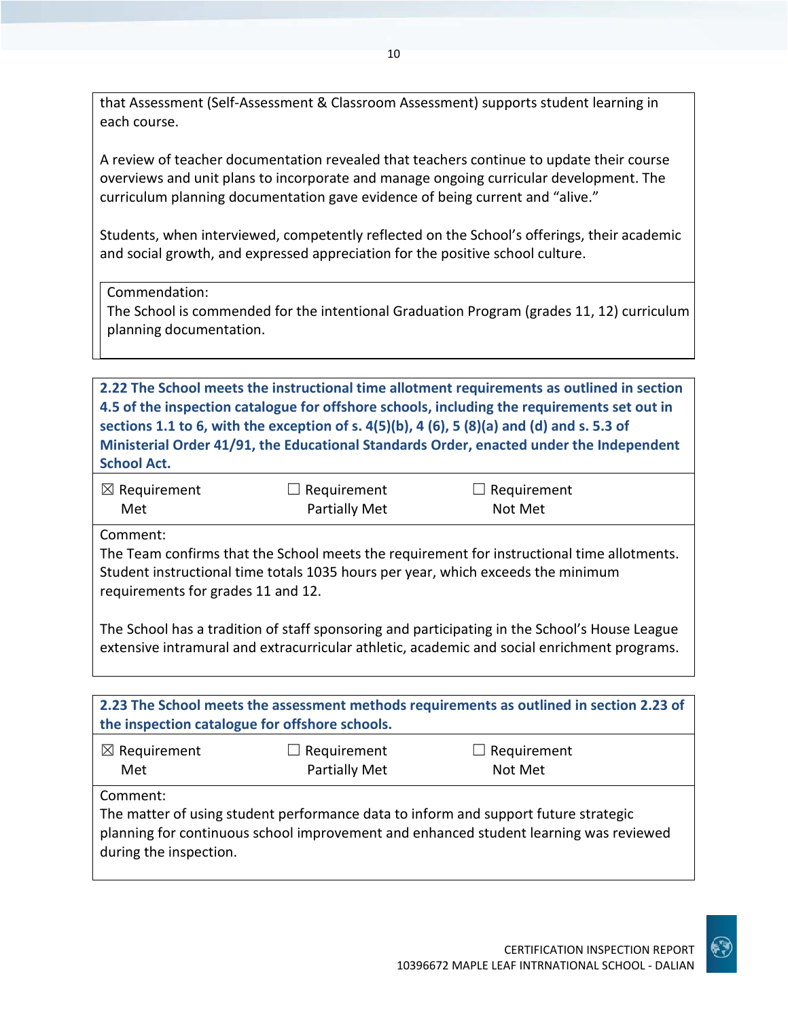that Assessment (Self-Assessment & Classroom Assessment) supports student learning in each course.

A review of teacher documentation revealed that teachers continue to update their course overviews and unit plans to incorporate and manage ongoing curricular development. The curriculum planning documentation gave evidence of being current and "alive."

Students, when interviewed, competently reflected on the School's offerings, their academic and social growth, and expressed appreciation for the positive school culture.

Commendation:

The School is commended for the intentional Graduation Program (grades 11, 12) curriculum planning documentation.

**2.22 The School meets the instructional time allotment requirements as outlined in section 4.5 of the inspection catalogue for offshore schools, including the requirements set out in sections 1.1 to 6, with the exception of s. 4(5)(b), 4 (6), 5 (8)(a) and (d) and s. 5.3 of Ministerial Order 41/91, the Educational Standards Order, enacted under the Independent School Act.**

| $\boxtimes$ Requirement | $\Box$ Requirement | $\Box$ Requirement |  |
|-------------------------|--------------------|--------------------|--|
| Met                     | Partially Met      | Not Met            |  |

Comment:

The Team confirms that the School meets the requirement for instructional time allotments. Student instructional time totals 1035 hours per year, which exceeds the minimum requirements for grades 11 and 12.

The School has a tradition of staff sponsoring and participating in the School's House League extensive intramural and extracurricular athletic, academic and social enrichment programs.

| 2.23 The School meets the assessment methods requirements as outlined in section 2.23 of<br>the inspection catalogue for offshore schools.                                                                         |                                            |                               |  |
|--------------------------------------------------------------------------------------------------------------------------------------------------------------------------------------------------------------------|--------------------------------------------|-------------------------------|--|
| $\boxtimes$ Requirement<br>Met                                                                                                                                                                                     | $\Box$ Requirement<br><b>Partially Met</b> | $\Box$ Requirement<br>Not Met |  |
| Comment:<br>The matter of using student performance data to inform and support future strategic<br>planning for continuous school improvement and enhanced student learning was reviewed<br>during the inspection. |                                            |                               |  |

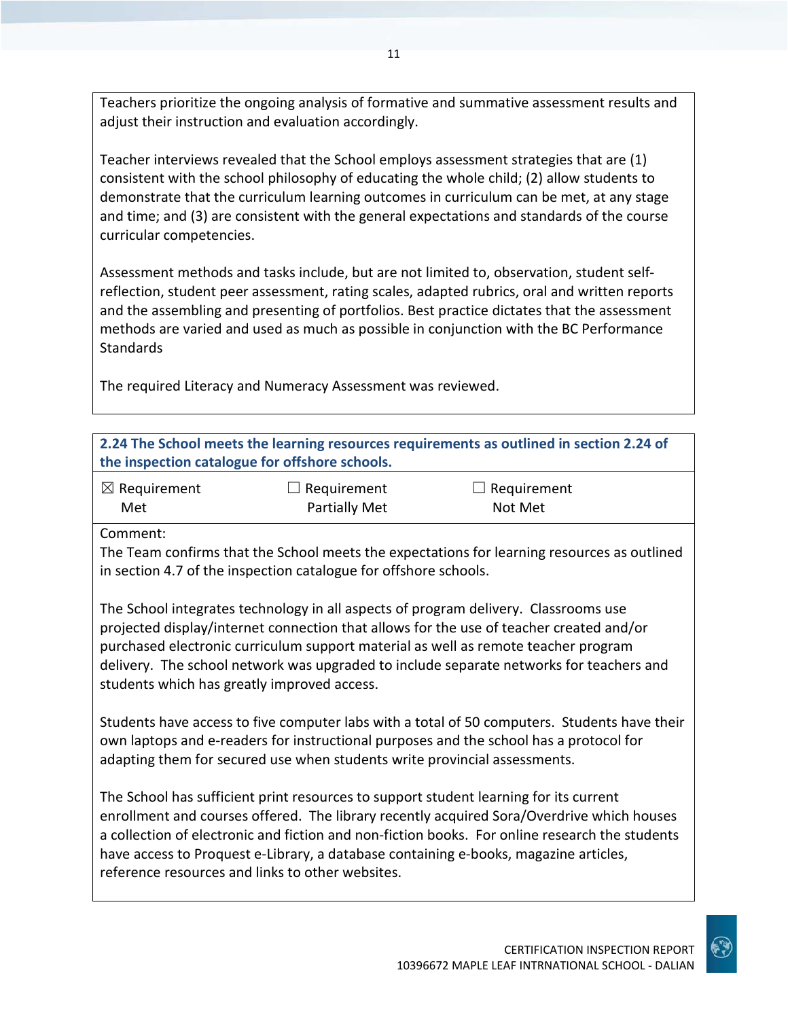Teachers prioritize the ongoing analysis of formative and summative assessment results and adjust their instruction and evaluation accordingly.

Teacher interviews revealed that the School employs assessment strategies that are (1) consistent with the school philosophy of educating the whole child; (2) allow students to demonstrate that the curriculum learning outcomes in curriculum can be met, at any stage and time; and (3) are consistent with the general expectations and standards of the course curricular competencies.

Assessment methods and tasks include, but are not limited to, observation, student selfreflection, student peer assessment, rating scales, adapted rubrics, oral and written reports and the assembling and presenting of portfolios. Best practice dictates that the assessment methods are varied and used as much as possible in conjunction with the BC Performance **Standards** 

The required Literacy and Numeracy Assessment was reviewed.

| 2.24 The School meets the learning resources requirements as outlined in section 2.24 of<br>the inspection catalogue for offshore schools.                                                                                                                                                                                                                                                                                       |                                                                  |                                                                                             |  |
|----------------------------------------------------------------------------------------------------------------------------------------------------------------------------------------------------------------------------------------------------------------------------------------------------------------------------------------------------------------------------------------------------------------------------------|------------------------------------------------------------------|---------------------------------------------------------------------------------------------|--|
| $\boxtimes$ Requirement                                                                                                                                                                                                                                                                                                                                                                                                          | $\Box$ Requirement                                               | Requirement                                                                                 |  |
| Met                                                                                                                                                                                                                                                                                                                                                                                                                              | Partially Met                                                    | Not Met                                                                                     |  |
| Comment:                                                                                                                                                                                                                                                                                                                                                                                                                         |                                                                  |                                                                                             |  |
|                                                                                                                                                                                                                                                                                                                                                                                                                                  | in section 4.7 of the inspection catalogue for offshore schools. | The Team confirms that the School meets the expectations for learning resources as outlined |  |
| The School integrates technology in all aspects of program delivery. Classrooms use<br>projected display/internet connection that allows for the use of teacher created and/or<br>purchased electronic curriculum support material as well as remote teacher program                                                                                                                                                             |                                                                  |                                                                                             |  |
| students which has greatly improved access.                                                                                                                                                                                                                                                                                                                                                                                      |                                                                  | delivery. The school network was upgraded to include separate networks for teachers and     |  |
| Students have access to five computer labs with a total of 50 computers. Students have their<br>own laptops and e-readers for instructional purposes and the school has a protocol for<br>adapting them for secured use when students write provincial assessments.                                                                                                                                                              |                                                                  |                                                                                             |  |
| The School has sufficient print resources to support student learning for its current<br>enrollment and courses offered. The library recently acquired Sora/Overdrive which houses<br>a collection of electronic and fiction and non-fiction books. For online research the students<br>have access to Proquest e-Library, a database containing e-books, magazine articles,<br>reference resources and links to other websites. |                                                                  |                                                                                             |  |
|                                                                                                                                                                                                                                                                                                                                                                                                                                  |                                                                  |                                                                                             |  |

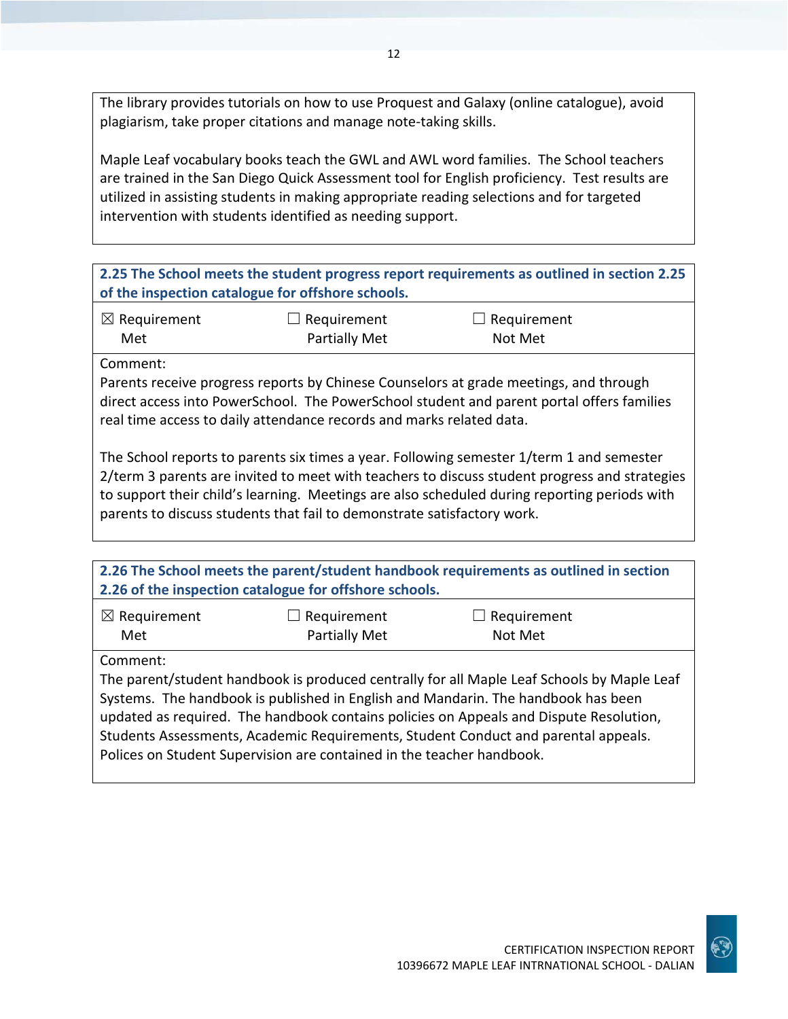The library provides tutorials on how to use Proquest and Galaxy (online catalogue), avoid plagiarism, take proper citations and manage note-taking skills.

Maple Leaf vocabulary books teach the GWL and AWL word families. The School teachers are trained in the San Diego Quick Assessment tool for English proficiency. Test results are utilized in assisting students in making appropriate reading selections and for targeted intervention with students identified as needing support.

| 2.25 The School meets the student progress report requirements as outlined in section 2.25 |
|--------------------------------------------------------------------------------------------|
| of the inspection catalogue for offshore schools.                                          |

| $\boxtimes$ Requirement | $\Box$ Requirement   | $\Box$ Requirement |
|-------------------------|----------------------|--------------------|
| Met                     | <b>Partially Met</b> | Not Met            |

Comment:

Parents receive progress reports by Chinese Counselors at grade meetings, and through direct access into PowerSchool. The PowerSchool student and parent portal offers families real time access to daily attendance records and marks related data.

The School reports to parents six times a year. Following semester 1/term 1 and semester 2/term 3 parents are invited to meet with teachers to discuss student progress and strategies to support their child's learning. Meetings are also scheduled during reporting periods with parents to discuss students that fail to demonstrate satisfactory work.

| 2.26 The School meets the parent/student handbook requirements as outlined in section<br>2.26 of the inspection catalogue for offshore schools. |                      |                    |  |  |
|-------------------------------------------------------------------------------------------------------------------------------------------------|----------------------|--------------------|--|--|
| $\boxtimes$ Requirement                                                                                                                         | Requirement          | $\Box$ Requirement |  |  |
| Met                                                                                                                                             | <b>Partially Met</b> | Not Met            |  |  |
| Comment:                                                                                                                                        |                      |                    |  |  |
| The parent/student handbook is produced centrally for all Maple Leaf Schools by Maple Leaf                                                      |                      |                    |  |  |
| Systems. The handbook is published in English and Mandarin. The handbook has been                                                               |                      |                    |  |  |
| updated as required. The handbook contains policies on Appeals and Dispute Resolution,                                                          |                      |                    |  |  |
| Students Assessments, Academic Requirements, Student Conduct and parental appeals.                                                              |                      |                    |  |  |
| Polices on Student Supervision are contained in the teacher handbook.                                                                           |                      |                    |  |  |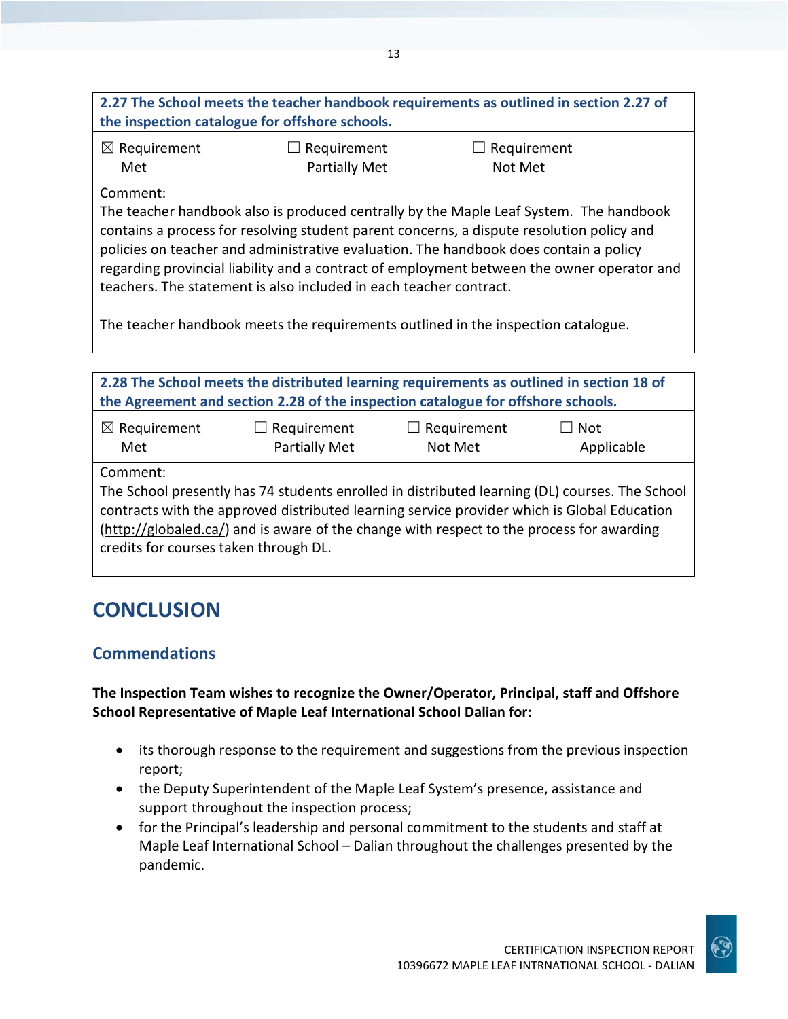## **2.27 The School meets the teacher handbook requirements as outlined in section 2.27 of the inspection catalogue for offshore schools.**

| $\boxtimes$ Requirement | $\Box$ Requirement | $\Box$ Requirement |
|-------------------------|--------------------|--------------------|
| Met                     | Partially Met      | Not Met            |

#### Comment:

The teacher handbook also is produced centrally by the Maple Leaf System. The handbook contains a process for resolving student parent concerns, a dispute resolution policy and policies on teacher and administrative evaluation. The handbook does contain a policy regarding provincial liability and a contract of employment between the owner operator and teachers. The statement is also included in each teacher contract.

The teacher handbook meets the requirements outlined in the inspection catalogue.

| 2.28 The School meets the distributed learning requirements as outlined in section 18 of<br>the Agreement and section 2.28 of the inspection catalogue for offshore schools.                                                                                                                           |  |  |  |  |
|--------------------------------------------------------------------------------------------------------------------------------------------------------------------------------------------------------------------------------------------------------------------------------------------------------|--|--|--|--|
| $\boxtimes$ Requirement<br>$\Box$ Requirement<br>Requirement<br>$\lrcorner$ Not<br>Partially Met<br>Met<br>Not Met<br>Applicable                                                                                                                                                                       |  |  |  |  |
| Comment:<br>The School presently has 74 students enrolled in distributed learning (DL) courses. The School<br>contracts with the approved distributed learning service provider which is Global Education<br>(http://globaled.ca/) and is aware of the change with respect to the process for awarding |  |  |  |  |
| credits for courses taken through DL.                                                                                                                                                                                                                                                                  |  |  |  |  |

# **CONCLUSION**

## **Commendations**

**The Inspection Team wishes to recognize the Owner/Operator, Principal, staff and Offshore School Representative of Maple Leaf International School Dalian for:**

- its thorough response to the requirement and suggestions from the previous inspection report;
- the Deputy Superintendent of the Maple Leaf System's presence, assistance and support throughout the inspection process;
- for the Principal's leadership and personal commitment to the students and staff at Maple Leaf International School – Dalian throughout the challenges presented by the pandemic.